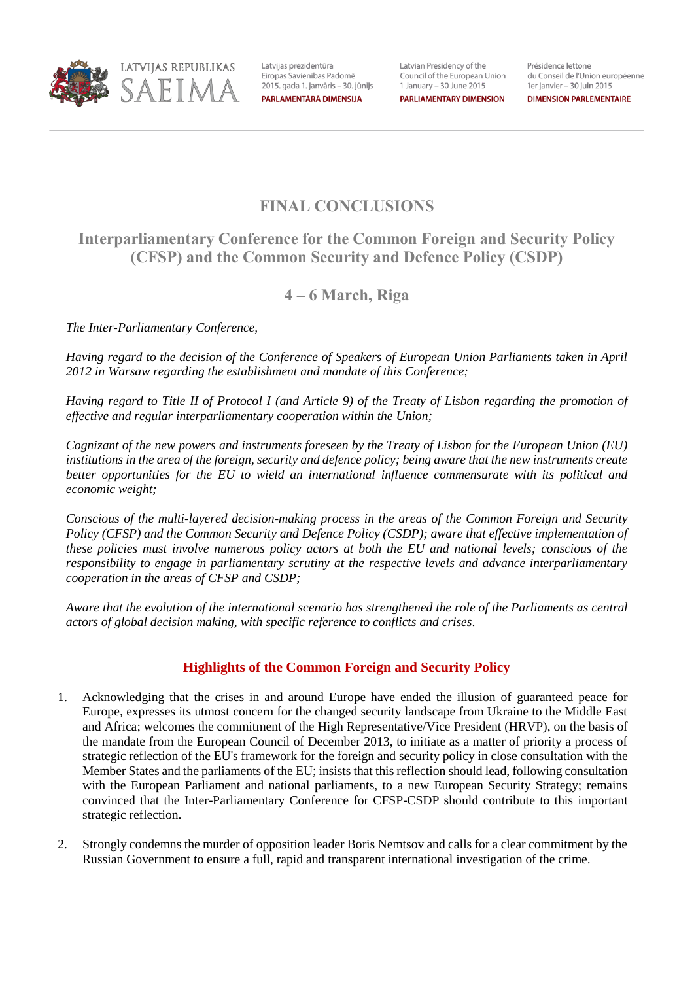

Latvijas prezidentūra Eiropas Savienības Padomē 2015. gada 1. janvāris - 30. jūnijs PARLAMENTĀRĀ DIMENSIJA

Latvian Presidency of the Council of the European Union 1 January – 30 June 2015 **PARLIAMENTARY DIMENSION**  Présidence lettone du Conseil de l'Union européenne 1er janvier - 30 juin 2015

**DIMENSION PARLEMENTAIRE** 

# **FINAL CONCLUSIONS**

# **Interparliamentary Conference for the Common Foreign and Security Policy (CFSP) and the Common Security and Defence Policy (CSDP)**

## **4 – 6 March, Riga**

*The Inter-Parliamentary Conference,* 

*Having regard to the decision of the Conference of Speakers of European Union Parliaments taken in April 2012 in Warsaw regarding the establishment and mandate of this Conference;* 

*Having regard to Title II of Protocol I (and Article 9) of the Treaty of Lisbon regarding the promotion of effective and regular interparliamentary cooperation within the Union;* 

*Cognizant of the new powers and instruments foreseen by the Treaty of Lisbon for the European Union (EU) institutions in the area of the foreign, security and defence policy; being aware that the new instruments create better opportunities for the EU to wield an international influence commensurate with its political and economic weight;* 

*Conscious of the multi-layered decision-making process in the areas of the Common Foreign and Security Policy (CFSP) and the Common Security and Defence Policy (CSDP); aware that effective implementation of these policies must involve numerous policy actors at both the EU and national levels; conscious of the responsibility to engage in parliamentary scrutiny at the respective levels and advance interparliamentary cooperation in the areas of CFSP and CSDP;* 

*Aware that the evolution of the international scenario has strengthened the role of the Parliaments as central actors of global decision making, with specific reference to conflicts and crises*.

## **Highlights of the Common Foreign and Security Policy**

- 1. Acknowledging that the crises in and around Europe have ended the illusion of guaranteed peace for Europe*,* expresses its utmost concern for the changed security landscape from Ukraine to the Middle East and Africa; welcomes the commitment of the High Representative/Vice President (HRVP), on the basis of the mandate from the European Council of December 2013, to initiate as a matter of priority a process of strategic reflection of the EU's framework for the foreign and security policy in close consultation with the Member States and the parliaments of the EU; insists that this reflection should lead, following consultation with the European Parliament and national parliaments, to a new European Security Strategy; remains convinced that the Inter-Parliamentary Conference for CFSP-CSDP should contribute to this important strategic reflection.
- 2. Strongly condemns the murder of opposition leader Boris Nemtsov and calls for a clear commitment by the Russian Government to ensure a full, rapid and transparent international investigation of the crime.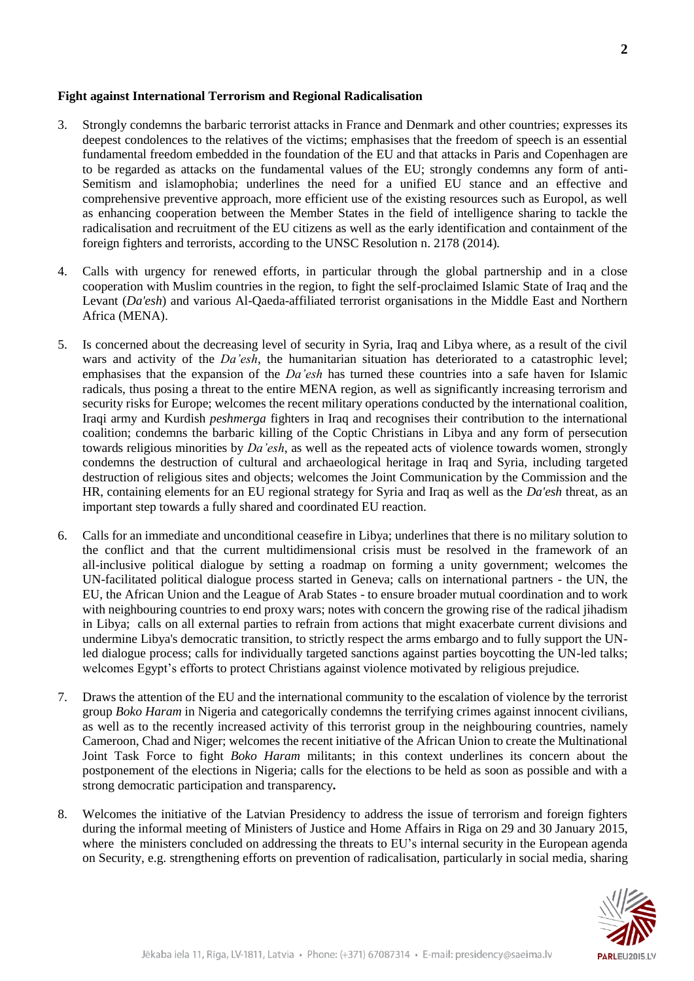#### **Fight against International Terrorism and Regional Radicalisation**

- 3. Strongly condemns the barbaric terrorist attacks in France and Denmark and other countries; expresses its deepest condolences to the relatives of the victims; emphasises that the freedom of speech is an essential fundamental freedom embedded in the foundation of the EU and that attacks in Paris and Copenhagen are to be regarded as attacks on the fundamental values of the EU; strongly condemns any form of anti-Semitism and islamophobia; underlines the need for a unified EU stance and an effective and comprehensive preventive approach, more efficient use of the existing resources such as Europol, as well as enhancing cooperation between the Member States in the field of intelligence sharing to tackle the radicalisation and recruitment of the EU citizens as well as the early identification and containment of the foreign fighters and terrorists, according to the UNSC Resolution n. 2178 (2014)*.*
- 4. Calls with urgency for renewed efforts, in particular through the global partnership and in a close cooperation with Muslim countries in the region, to fight the self-proclaimed Islamic State of Iraq and the Levant (*Da'esh*) and various Al-Qaeda-affiliated terrorist organisations in the Middle East and Northern Africa (MENA).
- 5. Is concerned about the decreasing level of security in Syria, Iraq and Libya where, as a result of the civil wars and activity of the *Da'esh*, the humanitarian situation has deteriorated to a catastrophic level; emphasises that the expansion of the *Da'esh* has turned these countries into a safe haven for Islamic radicals, thus posing a threat to the entire MENA region, as well as significantly increasing terrorism and security risks for Europe; welcomes the recent military operations conducted by the international coalition, Iraqi army and Kurdish *peshmerga* fighters in Iraq and recognises their contribution to the international coalition; condemns the barbaric killing of the Coptic Christians in Libya and any form of persecution towards religious minorities by *Da'esh*, as well as the repeated acts of violence towards women, strongly condemns the destruction of cultural and archaeological heritage in Iraq and Syria, including targeted destruction of religious sites and objects; welcomes the Joint Communication by the Commission and the HR, containing elements for an EU regional strategy for Syria and Iraq as well as the *Da'esh* threat, as an important step towards a fully shared and coordinated EU reaction.
- 6. Calls for an immediate and unconditional ceasefire in Libya; underlines that there is no military solution to the conflict and that the current multidimensional crisis must be resolved in the framework of an all-inclusive political dialogue by setting a roadmap on forming a unity government; welcomes the UN-facilitated political dialogue process started in Geneva; calls on international partners - the UN, the EU, the African Union and the League of Arab States - to ensure broader mutual coordination and to work with neighbouring countries to end proxy wars; notes with concern the growing rise of the radical jihadism in Libya; calls on all external parties to refrain from actions that might exacerbate current divisions and undermine Libya's democratic transition, to strictly respect the arms embargo and to fully support the UNled dialogue process; calls for individually targeted sanctions against parties boycotting the UN-led talks; welcomes Egypt's efforts to protect Christians against violence motivated by religious prejudice*.*
- 7. Draws the attention of the EU and the international community to the escalation of violence by the terrorist group *Boko Haram* in Nigeria and categorically condemns the terrifying crimes against innocent civilians, as well as to the recently increased activity of this terrorist group in the neighbouring countries, namely Cameroon, Chad and Niger; welcomes the recent initiative of the African Union to create the Multinational Joint Task Force to fight *Boko Haram* militants; in this context underlines its concern about the postponement of the elections in Nigeria; calls for the elections to be held as soon as possible and with a strong democratic participation and transparency*.*
- 8. Welcomes the initiative of the Latvian Presidency to address the issue of terrorism and foreign fighters during the informal meeting of Ministers of Justice and Home Affairs in Riga on 29 and 30 January 2015, where the ministers concluded on addressing the threats to EU's internal security in the European agenda on Security, e.g. strengthening efforts on prevention of radicalisation, particularly in social media, sharing

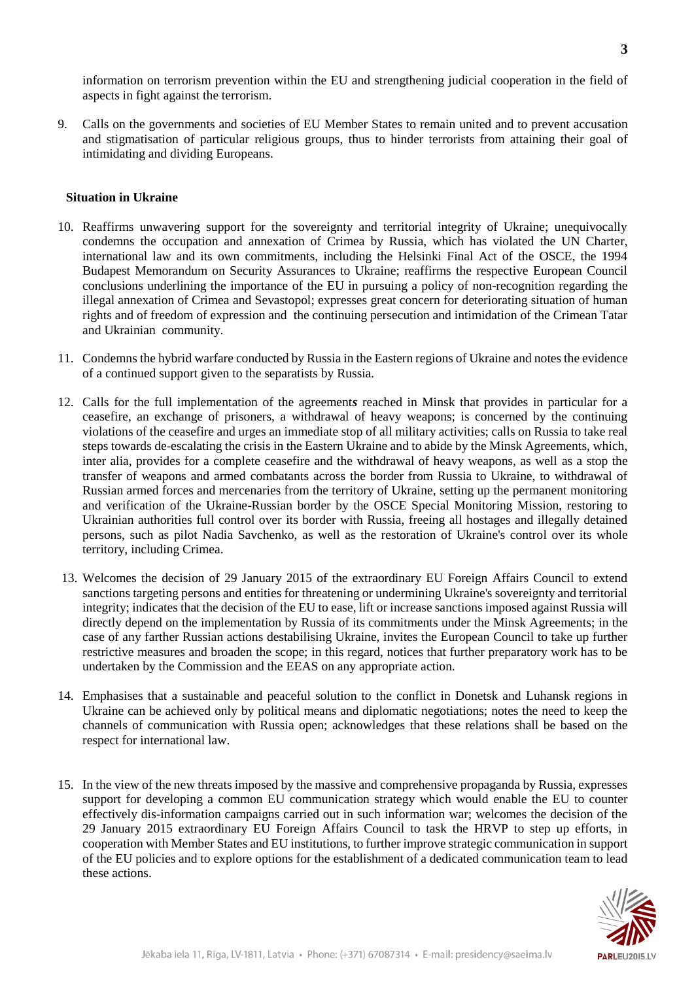information on terrorism prevention within the EU and strengthening judicial cooperation in the field of aspects in fight against the terrorism.

9. Calls on the governments and societies of EU Member States to remain united and to prevent accusation and stigmatisation of particular religious groups, thus to hinder terrorists from attaining their goal of intimidating and dividing Europeans.

#### **Situation in Ukraine**

- 10. Reaffirms unwavering support for the sovereignty and territorial integrity of Ukraine; unequivocally condemns the occupation and annexation of Crimea by Russia, which has violated the UN Charter, international law and its own commitments, including the Helsinki Final Act of the OSCE, the 1994 Budapest Memorandum on Security Assurances to Ukraine; reaffirms the respective European Council conclusions underlining the importance of the EU in pursuing a policy of non-recognition regarding the illegal annexation of Crimea and Sevastopol; expresses great concern for deteriorating situation of human rights and of freedom of expression andthe continuing persecution and intimidation of the Crimean Tatar and Ukrainian community.
- 11. Condemns the hybrid warfare conducted by Russia in the Eastern regions of Ukraine and notes the evidence of a continued support given to the separatists by Russia*.*
- 12. Calls for the full implementation of the agreement*s* reached in Minsk that provides in particular for a ceasefire, an exchange of prisoners, a withdrawal of heavy weapons; is concerned by the continuing violations of the ceasefire and urges an immediate stop of all military activities; calls on Russia to take real steps towards de-escalating the crisis in the Eastern Ukraine and to abide by the Minsk Agreements, which, inter alia, provides for a complete ceasefire and the withdrawal of heavy weapons, as well as a stop the transfer of weapons and armed combatants across the border from Russia to Ukraine, to withdrawal of Russian armed forces and mercenaries from the territory of Ukraine, setting up the permanent monitoring and verification of the Ukraine-Russian border by the OSCE Special Monitoring Mission, restoring to Ukrainian authorities full control over its border with Russia, freeing all hostages and illegally detained persons, such as pilot Nadia Savchenko, as well as the restoration of Ukraine's control over its whole territory, including Crimea.
- 13. Welcomes the decision of 29 January 2015 of the extraordinary EU Foreign Affairs Council to extend sanctions targeting persons and entities for threatening or undermining Ukraine's sovereignty and territorial integrity; indicates that the decision of the EU to ease, lift or increase sanctions imposed against Russia will directly depend on the implementation by Russia of its commitments under the Minsk Agreements; in the case of any farther Russian actions destabilising Ukraine, invites the European Council to take up further restrictive measures and broaden the scope; in this regard, notices that further preparatory work has to be undertaken by the Commission and the EEAS on any appropriate action*.*
- 14. Emphasises that a sustainable and peaceful solution to the conflict in Donetsk and Luhansk regions in Ukraine can be achieved only by political means and diplomatic negotiations; notes the need to keep the channels of communication with Russia open; acknowledges that these relations shall be based on the respect for international law.
- 15. In the view of the new threats imposed by the massive and comprehensive propaganda by Russia, expresses support for developing a common EU communication strategy which would enable the EU to counter effectively dis-information campaigns carried out in such information war; welcomes the decision of the 29 January 2015 extraordinary EU Foreign Affairs Council to task the HRVP to step up efforts, in cooperation with Member States and EU institutions, to further improve strategic communication in support of the EU policies and to explore options for the establishment of a dedicated communication team to lead these actions.

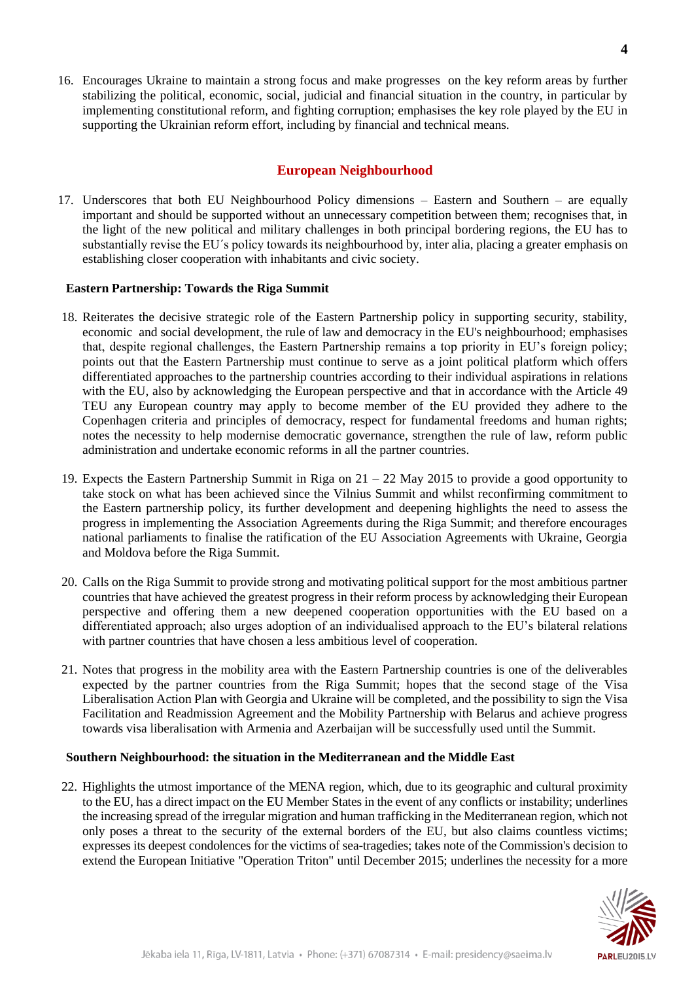16. Encourages Ukraine to maintain a strong focus and make progresseson the key reform areas by further stabilizing the political, economic, social, judicial and financial situation in the country, in particular by implementing constitutional reform, and fighting corruption; emphasises the key role played by the EU in supporting the Ukrainian reform effort, including by financial and technical means.

### **European Neighbourhood**

17. Underscores that both EU Neighbourhood Policy dimensions – Eastern and Southern – are equally important and should be supported without an unnecessary competition between them; recognises that, in the light of the new political and military challenges in both principal bordering regions, the EU has to substantially revise the EU´s policy towards its neighbourhood by, inter alia, placing a greater emphasis on establishing closer cooperation with inhabitants and civic society.

#### **Eastern Partnership: Towards the Riga Summit**

- 18. Reiterates the decisive strategic role of the Eastern Partnership policy in supporting security, stability, economic and social development, the rule of law and democracy in the EU's neighbourhood; emphasises that, despite regional challenges, the Eastern Partnership remains a top priority in EU's foreign policy; points out that the Eastern Partnership must continue to serve as a joint political platform which offers differentiated approaches to the partnership countries according to their individual aspirations in relations with the EU, also by acknowledging the European perspective and that in accordance with the Article 49 TEU any European country may apply to become member of the EU provided they adhere to the Copenhagen criteria and principles of democracy, respect for fundamental freedoms and human rights; notes the necessity to help modernise democratic governance, strengthen the rule of law, reform public administration and undertake economic reforms in all the partner countries.
- 19. Expects the Eastern Partnership Summit in Riga on 21 22 May 2015 to provide a good opportunity to take stock on what has been achieved since the Vilnius Summit and whilst reconfirming commitment to the Eastern partnership policy, its further development and deepening highlights the need to assess the progress in implementing the Association Agreements during the Riga Summit; and therefore encourages national parliaments to finalise the ratification of the EU Association Agreements with Ukraine, Georgia and Moldova before the Riga Summit.
- 20. Calls on the Riga Summit to provide strong and motivating political support for the most ambitious partner countries that have achieved the greatest progress in their reform process by acknowledging their European perspective and offering them a new deepened cooperation opportunities with the EU based on a differentiated approach; also urges adoption of an individualised approach to the EU's bilateral relations with partner countries that have chosen a less ambitious level of cooperation.
- 21. Notes that progress in the mobility area with the Eastern Partnership countries is one of the deliverables expected by the partner countries from the Riga Summit; hopes that the second stage of the Visa Liberalisation Action Plan with Georgia and Ukraine will be completed, and the possibility to sign the Visa Facilitation and Readmission Agreement and the Mobility Partnership with Belarus and achieve progress towards visa liberalisation with Armenia and Azerbaijan will be successfully used until the Summit.

#### **Southern Neighbourhood: the situation in the Mediterranean and the Middle East**

22. Highlights the utmost importance of the MENA region, which, due to its geographic and cultural proximity to the EU, has a direct impact on the EU Member States in the event of any conflicts or instability; underlines the increasing spread of the irregular migration and human trafficking in the Mediterranean region, which not only poses a threat to the security of the external borders of the EU, but also claims countless victims; expresses its deepest condolences for the victims of sea-tragedies; takes note of the Commission's decision to extend the European Initiative "Operation Triton" until December 2015; underlines the necessity for a more

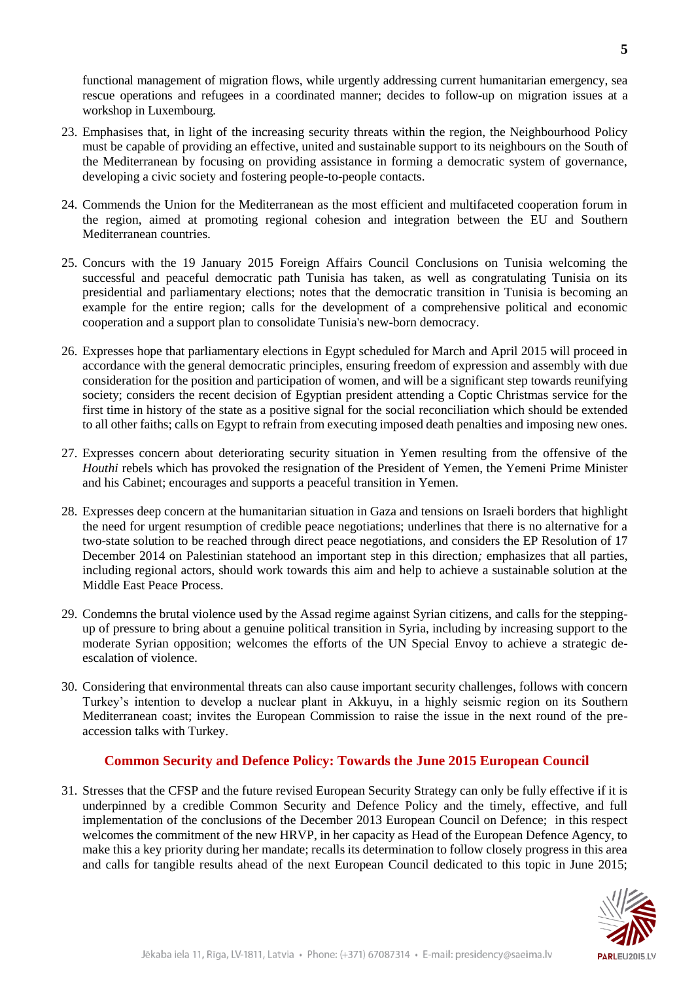functional management of migration flows, while urgently addressing current humanitarian emergency, sea rescue operations and refugees in a coordinated manner; decides to follow-up on migration issues at a workshop in Luxembourg*.*

- 23. Emphasises that, in light of the increasing security threats within the region, the Neighbourhood Policy must be capable of providing an effective, united and sustainable support to its neighbours on the South of the Mediterranean by focusing on providing assistance in forming a democratic system of governance, developing a civic society and fostering people-to-people contacts.
- 24. Commends the Union for the Mediterranean as the most efficient and multifaceted cooperation forum in the region, aimed at promoting regional cohesion and integration between the EU and Southern Mediterranean countries.
- 25. Concurs with the 19 January 2015 Foreign Affairs Council Conclusions on Tunisia welcoming the successful and peaceful democratic path Tunisia has taken, as well as congratulating Tunisia on its presidential and parliamentary elections; notes that the democratic transition in Tunisia is becoming an example for the entire region; calls for the development of a comprehensive political and economic cooperation and a support plan to consolidate Tunisia's new-born democracy.
- 26. Expresses hope that parliamentary elections in Egypt scheduled for March and April 2015 will proceed in accordance with the general democratic principles, ensuring freedom of expression and assembly with due consideration for the position and participation of women, and will be a significant step towards reunifying society; considers the recent decision of Egyptian president attending a Coptic Christmas service for the first time in history of the state as a positive signal for the social reconciliation which should be extended to all other faiths; calls on Egypt to refrain from executing imposed death penalties and imposing new ones.
- 27. Expresses concern about deteriorating security situation in Yemen resulting from the offensive of the *Houthi* rebels which has provoked the resignation of the President of Yemen, the Yemeni Prime Minister and his Cabinet; encourages and supports a peaceful transition in Yemen.
- 28. Expresses deep concern at the humanitarian situation in Gaza and tensions on Israeli borders that highlight the need for urgent resumption of credible peace negotiations; underlines that there is no alternative for a two-state solution to be reached through direct peace negotiations, and considers the EP Resolution of 17 December 2014 on Palestinian statehood an important step in this direction*;* emphasizes that all parties, including regional actors, should work towards this aim and help to achieve a sustainable solution at the Middle East Peace Process.
- 29. Condemns the brutal violence used by the Assad regime against Syrian citizens, and calls for the steppingup of pressure to bring about a genuine political transition in Syria, including by increasing support to the moderate Syrian opposition; welcomes the efforts of the UN Special Envoy to achieve a strategic deescalation of violence.
- 30. Considering that environmental threats can also cause important security challenges, follows with concern Turkey's intention to develop a nuclear plant in Akkuyu, in a highly seismic region on its Southern Mediterranean coast; invites the European Commission to raise the issue in the next round of the preaccession talks with Turkey.

#### **Common Security and Defence Policy: Towards the June 2015 European Council**

31. Stresses that the CFSP and the future revised European Security Strategy can only be fully effective if it is underpinned by a credible Common Security and Defence Policy and the timely, effective, and full implementation of the conclusions of the December 2013 European Council on Defence; in this respect welcomes the commitment of the new HRVP, in her capacity as Head of the European Defence Agency, to make this a key priority during her mandate; recalls its determination to follow closely progress in this area and calls for tangible results ahead of the next European Council dedicated to this topic in June 2015;



**5**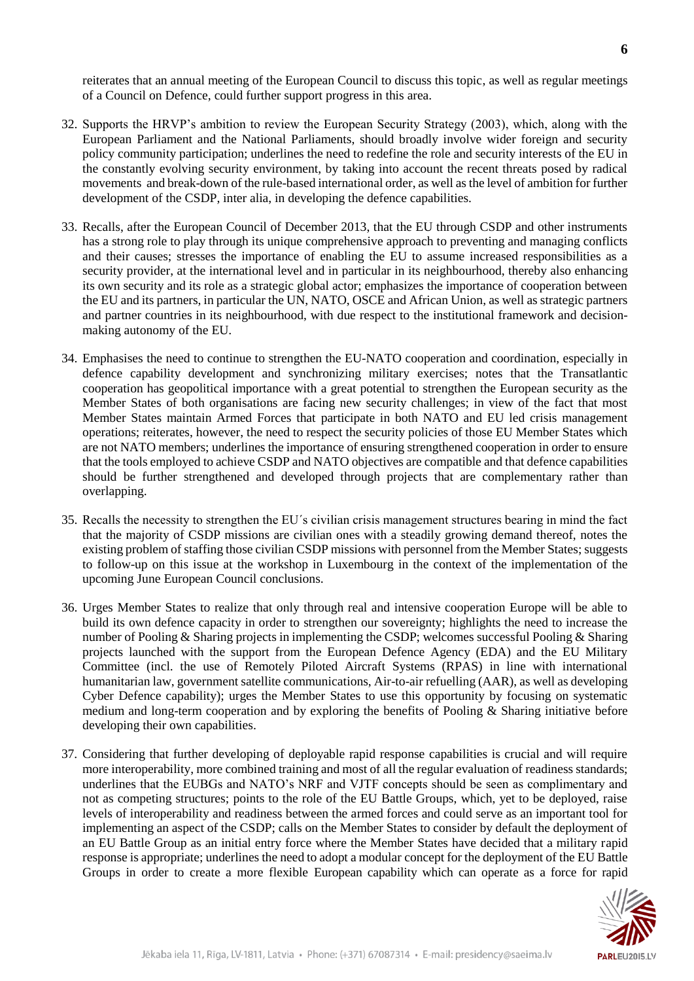reiterates that an annual meeting of the European Council to discuss this topic, as well as regular meetings of a Council on Defence, could further support progress in this area.

- 32. Supports the HRVP's ambition to review the European Security Strategy (2003), which, along with the European Parliament and the National Parliaments, should broadly involve wider foreign and security policy community participation; underlines the need to redefine the role and security interests of the EU in the constantly evolving security environment, by taking into account the recent threats posed by radical movements and break-down of the rule-based international order, as well as the level of ambition for further development of the CSDP, inter alia, in developing the defence capabilities.
- 33. Recalls, after the European Council of December 2013, that the EU through CSDP and other instruments has a strong role to play through its unique comprehensive approach to preventing and managing conflicts and their causes; stresses the importance of enabling the EU to assume increased responsibilities as a security provider, at the international level and in particular in its neighbourhood, thereby also enhancing its own security and its role as a strategic global actor; emphasizes the importance of cooperation between the EU and its partners, in particular the UN, NATO, OSCE and African Union, as well as strategic partners and partner countries in its neighbourhood, with due respect to the institutional framework and decisionmaking autonomy of the EU.
- 34. Emphasises the need to continue to strengthen the EU-NATO cooperation and coordination, especially in defence capability development and synchronizing military exercises; notes that the Transatlantic cooperation has geopolitical importance with a great potential to strengthen the European security as the Member States of both organisations are facing new security challenges; in view of the fact that most Member States maintain Armed Forces that participate in both NATO and EU led crisis management operations; reiterates, however, the need to respect the security policies of those EU Member States which are not NATO members; underlines the importance of ensuring strengthened cooperation in order to ensure that the tools employed to achieve CSDP and NATO objectives are compatible and that defence capabilities should be further strengthened and developed through projects that are complementary rather than overlapping.
- 35. Recalls the necessity to strengthen the EU´s civilian crisis management structures bearing in mind the fact that the majority of CSDP missions are civilian ones with a steadily growing demand thereof, notes the existing problem of staffing those civilian CSDP missions with personnel from the Member States; suggests to follow-up on this issue at the workshop in Luxembourg in the context of the implementation of the upcoming June European Council conclusions.
- 36. Urges Member States to realize that only through real and intensive cooperation Europe will be able to build its own defence capacity in order to strengthen our sovereignty; highlights the need to increase the number of Pooling & Sharing projects in implementing the CSDP; welcomes successful Pooling & Sharing projects launched with the support from the European Defence Agency (EDA) and the EU Military Committee (incl. the use of Remotely Piloted Aircraft Systems (RPAS) in line with international humanitarian law, government satellite communications, Air-to-air refuelling (AAR), as well as developing Cyber Defence capability); urges the Member States to use this opportunity by focusing on systematic medium and long-term cooperation and by exploring the benefits of Pooling & Sharing initiative before developing their own capabilities.
- 37. Considering that further developing of deployable rapid response capabilities is crucial and will require more interoperability, more combined training and most of all the regular evaluation of readiness standards; underlines that the EUBGs and NATO's NRF and VJTF concepts should be seen as complimentary and not as competing structures; points to the role of the EU Battle Groups, which, yet to be deployed, raise levels of interoperability and readiness between the armed forces and could serve as an important tool for implementing an aspect of the CSDP; calls on the Member States to consider by default the deployment of an EU Battle Group as an initial entry force where the Member States have decided that a military rapid response is appropriate; underlines the need to adopt a modular concept for the deployment of the EU Battle Groups in order to create a more flexible European capability which can operate as a force for rapid